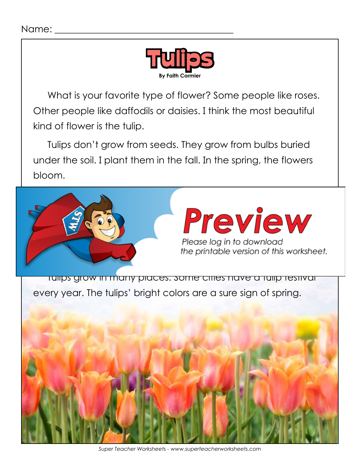

What is your favorite type of flower? Some people like roses. Other people like daffodils or daisies. I think the most beautiful kind of flower is the tulip.

Tulips don't grow from seeds. They grow from bulbs buried under the soil. I plant them in the fall. In the spring, the flowers bloom.

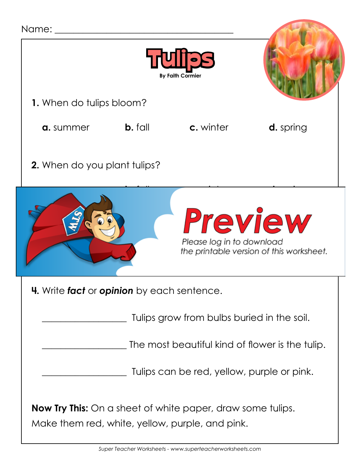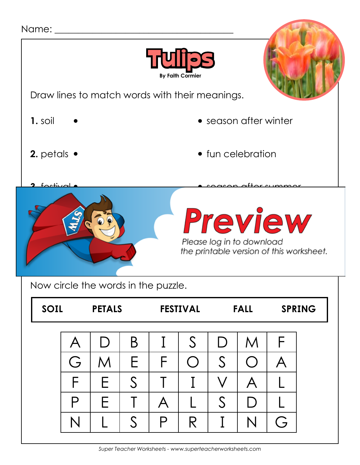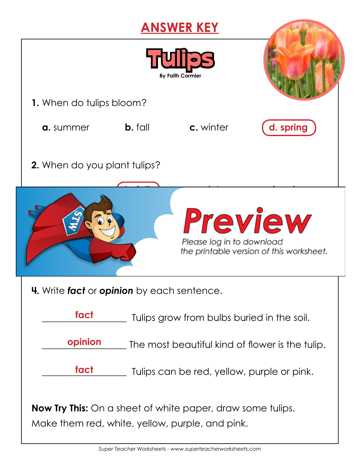